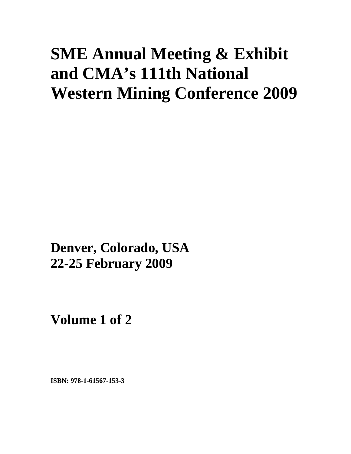# **SME Annual Meeting & Exhibit and CMA's 111th National Western Mining Conference 2009**

**Denver, Colorado, USA 22-25 February 2009**

**Volume 1 of 2** 

**ISBN: 978-1-61567-153-3**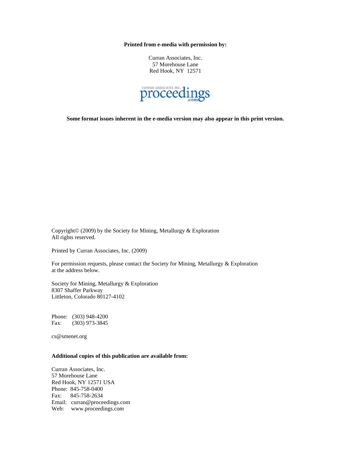**Printed from e-media with permission by:** 

Curran Associates, Inc. 57 Morehouse Lane Red Hook, NY 12571



**Some format issues inherent in the e-media version may also appear in this print version.** 

Copyright© (2009) by the Society for Mining, Metallurgy & Exploration All rights reserved.

Printed by Curran Associates, Inc. (2009)

For permission requests, please contact the Society for Mining, Metallurgy & Exploration at the address below.

Society for Mining, Metallurgy & Exploration 8307 Shaffer Parkway Littleton, Colorado 80127-4102

Phone: (303) 948-4200 Fax: (303) 973-3845

cs@smenet.org

### **Additional copies of this publication are available from:**

Curran Associates, Inc. 57 Morehouse Lane Red Hook, NY 12571 USA Phone: 845-758-0400 Fax: 845-758-2634 Email: curran@proceedings.com Web: www.proceedings.com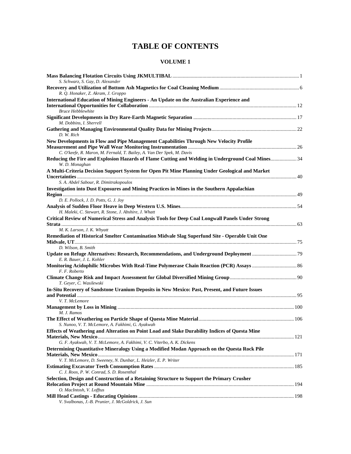# **TABLE OF CONTENTS**

## **VOLUME 1**

| S. Schwarz, S. Gay, D. Alexander                                                                                    |  |
|---------------------------------------------------------------------------------------------------------------------|--|
| R. Q. Honaker, Z. Akram, J. Groppo                                                                                  |  |
| International Education of Mining Engineers - An Update on the Australian Experience and                            |  |
| <b>Bruce Hebblewhite</b>                                                                                            |  |
| M. Dobbins, I. Sherrell                                                                                             |  |
| D. W. Rich                                                                                                          |  |
| New Developments in Flow and Pipe Management Capabilities Through New Velocity Profile                              |  |
| C. O'keefe, R. Maron, M. Fernald, T. Bailey, A. Van Der Spek, M. Davis                                              |  |
| Reducing the Fire and Explosion Hazards of Flame Cutting and Welding in Underground Coal Mines 34<br>W. D. Monaghan |  |
| A Multi-Criteria Decision Support System for Open Pit Mine Planning Under Geological and Market                     |  |
|                                                                                                                     |  |
| S. A. Abdel Sabour, R. Dimitrakopoulos                                                                              |  |
| Investigation into Dust Exposures and Mining Practices in Mines in the Southern Appalachian                         |  |
| D. E. Pollock, J. D. Potts, G. J. Joy                                                                               |  |
|                                                                                                                     |  |
| H. Maleki, C. Stewart, R. Stone, J. Abshire, J. Whatt                                                               |  |
| Critical Review of Numerical Stress and Analysis Tools for Deep Coal Longwall Panels Under Strong                   |  |
| M. K. Larson, J. K. Whyatt                                                                                          |  |
| Remediation of Historical Smelter Contamination Midvale Slag Superfund Site - Operable Unit One                     |  |
| D. Wilson, B. Smith                                                                                                 |  |
| E. R. Bauer, J. L. Kohler                                                                                           |  |
| Monitoring Acidophilic Microbes With Real-Time Polymerase Chain Reaction (PCR) Assays  86<br>F. F. Roberto          |  |
| T. Geyer, C. Wasilewski                                                                                             |  |
| In-Situ Recovery of Sandstone Uranium Deposits in New Mexico: Past, Present, and Future Issues                      |  |
|                                                                                                                     |  |
| V. T. McLemore                                                                                                      |  |
|                                                                                                                     |  |
| M. J. Ramos                                                                                                         |  |
|                                                                                                                     |  |
| S. Nunoo, V. T. McLemore, A. Fakhimi, G. Ayakwah                                                                    |  |
| Effects of Weathering and Alteration on Point Load and Slake Durability Indices of Questa Mine                      |  |
| G. F. Ayakwah, V. T. McLemore, A. Fakhimi, V. C. Viterbo, A. K. Dickens                                             |  |
| Determining Quantitative Mineralogy Using a Modified Modan Approach on the Questa Rock Pile                         |  |
|                                                                                                                     |  |
| V. T. McLemore, D. Sweeney, N. Dunbar, L. Heizler, E. P. Writer                                                     |  |
| C. J. Roos, P. W. Conrad, S. D. Rosenthal                                                                           |  |
| Selection, Design and Construction of a Retaining Structure to Support the Primary Crusher                          |  |
|                                                                                                                     |  |
| O. MacIntosh, V. Lofftus                                                                                            |  |
|                                                                                                                     |  |
| V. Svalbonas, J.-B. Prunier, J. McGoldrick, J. Sun                                                                  |  |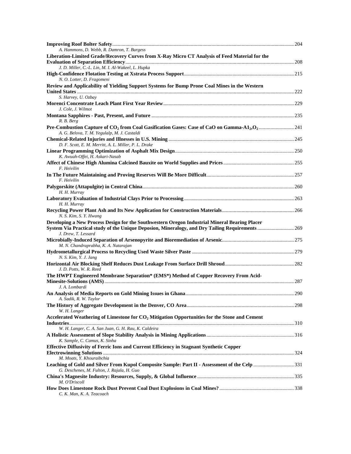| A. Hammons, D. Webb, R. Damron, T. Burgess                                                                                                                                                                               |  |
|--------------------------------------------------------------------------------------------------------------------------------------------------------------------------------------------------------------------------|--|
| Liberation-Limited Grade/Recovery Curves from X-Ray Micro CT Analysis of Feed Material for the                                                                                                                           |  |
| J. D. Miller, C.-L. Lin, M. I. Al-Wakeel, L. Hupka                                                                                                                                                                       |  |
| N. O. Lotter, D. Fragomeni                                                                                                                                                                                               |  |
| Review and Applicability of Yielding Support Systems for Bump Prone Coal Mines in the Western                                                                                                                            |  |
|                                                                                                                                                                                                                          |  |
| S. Harvey, U. Ozbay<br>J. Cole, J. Wilmot                                                                                                                                                                                |  |
|                                                                                                                                                                                                                          |  |
| R. B. Berg                                                                                                                                                                                                               |  |
| A. G. Belova, T. M. Yegulalp, M. J. Castaldi                                                                                                                                                                             |  |
| D. F. Scott, E. M. Merritt, A. L. Miller, P. L. Drake                                                                                                                                                                    |  |
| K. Awuah-Offei, H. Askari-Nasab                                                                                                                                                                                          |  |
| F. Heivilin                                                                                                                                                                                                              |  |
| F. Heivilin                                                                                                                                                                                                              |  |
| H. H. Murray                                                                                                                                                                                                             |  |
| H. H. Murray                                                                                                                                                                                                             |  |
| N. S. Kim, S. Y. Hwang                                                                                                                                                                                                   |  |
| Developing a New Process Design for the Southwestern Oregon Industrial Mineral Bearing Placer<br>System Via Practical study of the Unique Deposion, Mineralogy, and Dry Tailing Requirements  269<br>J. Drew, T. Lessard |  |
| M. N. Chandraprabha, K. A. Natarajan                                                                                                                                                                                     |  |
| N. S. Kim, Y. J. Jang                                                                                                                                                                                                    |  |
| J. D. Potts, W. R. Reed                                                                                                                                                                                                  |  |
| The HWPT Engineered Membrane Separation* (EMS*) Method of Copper Recovery From Acid-                                                                                                                                     |  |
| J. A. Lombardi                                                                                                                                                                                                           |  |
|                                                                                                                                                                                                                          |  |
| A. Sadik, R. W. Taylor                                                                                                                                                                                                   |  |
| W. H. Langer                                                                                                                                                                                                             |  |
| Accelerated Weathering of Limestone for $CO2$ Mitigation Opportunities for the Stone and Cement                                                                                                                          |  |
| W. H. Langer, C. A. San Juan, G. H. Rau, K. Caldeira                                                                                                                                                                     |  |
| K. Sample, C. Camus, K. Sinha                                                                                                                                                                                            |  |
| <b>Effective Diffusivity of Ferric Ions and Current Efficiency in Stagnant Synthetic Copper</b>                                                                                                                          |  |
| M. Moats, Y. Khouraibchia                                                                                                                                                                                                |  |
| Leaching of Gold and Silver From Kupol Composite Sample: Part II - Assessment of the Celp 331<br>G. Deschenes, M. Fulton, J. Rajala, H. Guo                                                                              |  |
| M. O'Driscoll                                                                                                                                                                                                            |  |
| C. K. Man, K. A. Teacoach                                                                                                                                                                                                |  |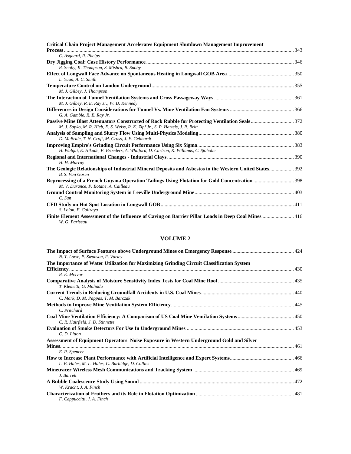| Critical Chain Project Management Accelerates Equipment Shutdown Management Improvement                                    |  |
|----------------------------------------------------------------------------------------------------------------------------|--|
|                                                                                                                            |  |
| C. Asgaard, R. Phelps                                                                                                      |  |
|                                                                                                                            |  |
| R. Snoby, K. Thompson, S. Mishra, B. Snoby                                                                                 |  |
|                                                                                                                            |  |
| L. Yuan, A. C. Smith                                                                                                       |  |
|                                                                                                                            |  |
| M. J. Gilbey, J. Thompson                                                                                                  |  |
|                                                                                                                            |  |
| M. J. Gilbey, R. E. Ray Jr., W. D. Kennedy                                                                                 |  |
|                                                                                                                            |  |
| G. A. Gamble, R. E. Ray Jr.                                                                                                |  |
|                                                                                                                            |  |
| M. J. Sapko, M. R. Hieb, E. S. Weiss, R. K. Zipf Jr., S. P. Harteis, J. R. Britt                                           |  |
| D. McBride, T. N. Croft, M. Cross, J. E. Gebhardt                                                                          |  |
|                                                                                                                            |  |
| H. Walqui, E. Hikade, F. Broeders, A. Whitford, D. Carlson, K. Williams, C. Sjoholm                                        |  |
|                                                                                                                            |  |
| H. H. Murray                                                                                                               |  |
| The Geologic Relationships of Industrial Mineral Deposits and Asbestos in the Western United States 392<br>B. S. Van Gosen |  |
| Reprocessing of a French Guyana Operation Tailings Using Flotation for Gold Concentration 398                              |  |
| M. V. Durance, P. Botane, A. Cailleau                                                                                      |  |
|                                                                                                                            |  |
| $C.$ Sun                                                                                                                   |  |
|                                                                                                                            |  |
| S. Lolon, F. Calizaya                                                                                                      |  |
| Finite Element Assessment of the Influence of Caving on Barrier Pillar Loads in Deep Coal Mines  416<br>W. G. Pariseau     |  |

### **VOLUME 2**

| N. T. Lowe, P. Swanson, F. Varley                                                         |  |
|-------------------------------------------------------------------------------------------|--|
| The Importance of Water Utilization for Maximizing Grinding Circuit Classification System |  |
|                                                                                           |  |
| R. E. McIvor                                                                              |  |
| T. Klemetti, G. Molinda                                                                   |  |
|                                                                                           |  |
| C. Mark, D. M. Pappas, T. M. Barczak                                                      |  |
|                                                                                           |  |
| C. Pritchard                                                                              |  |
| C. R. Hairfield, J. D. Stinnette                                                          |  |
|                                                                                           |  |
| C. D. Litton                                                                              |  |
| Assessment of Equipment Operators' Noise Exposure in Western Underground Gold and Silver  |  |
|                                                                                           |  |
| E.R. Spencer                                                                              |  |
|                                                                                           |  |
| L. B. Hales, M. L. Hales, C. Burbidge, D. Collins                                         |  |
|                                                                                           |  |
| J. Barrett                                                                                |  |
| W. Kracht, J. A. Finch                                                                    |  |
|                                                                                           |  |
| F. Cappuccitti, J. A. Finch                                                               |  |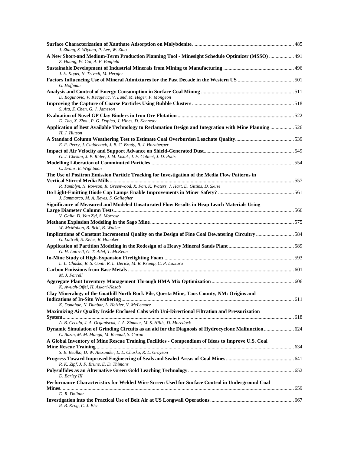| J. Zhang, S. Wiyono, P. Lee, W. Ziao<br>491 A New Short-and Medium-Term Production Planning Tool - Minesight Schedule Optimizer (MSSO)  491<br>Z. Huang, W. Cai, A. F. Banfield                                               |  |
|-------------------------------------------------------------------------------------------------------------------------------------------------------------------------------------------------------------------------------|--|
| J. E. Kogel, N. Trivedi, M. Herpfer                                                                                                                                                                                           |  |
| G. Hoffman                                                                                                                                                                                                                    |  |
| D. Bogunovic, V. Kecojevic, V. Lund, M. Heger, P. Mongeon                                                                                                                                                                     |  |
| S. Ata, Z. Chen, G. J. Jameson                                                                                                                                                                                                |  |
| D. Tao, X. Zhou, P. G. Dopico, J. Hines, D. Kennedy                                                                                                                                                                           |  |
| Application of Best Available Technology to Reclamation Design and Integration with Mine Planning 526<br>H. J. Hutson                                                                                                         |  |
| E. F. Perry, J. Cuddeback, J. B. C. Brady, R. J. Hornberger                                                                                                                                                                   |  |
| G. J. Chekan, J. P. Rider, J. M. Listak, J. F. Colinet, J. D. Potts                                                                                                                                                           |  |
| C. Evans, E. Wightman                                                                                                                                                                                                         |  |
| The Use of Positron Emission Particle Tracking for Investigation of the Media Flow Patterns in                                                                                                                                |  |
| R. Tamblyn, N. Rowson, R. Greenwood, X. Fan, K. Waters, J. Hart, D. Gittins, D. Skuse<br>J. Sammarco, M. A. Reyes, S. Gallagher                                                                                               |  |
| Significance of Measured and Modeled Unsaturated Flow Results in Heap Leach Materials Using                                                                                                                                   |  |
| V. Galla, D. Van Zyl, S. Morrow                                                                                                                                                                                               |  |
| W. McMahon, B. Britt, B. Walker                                                                                                                                                                                               |  |
| G. Luttrell, S. Keles, R. Honaker<br>G. H. Luttrell, G. T. Adel, T. McKeon                                                                                                                                                    |  |
| L. L. Chasko, R. S. Conti, R. L. Derick, M. R. Krump, C. P. Lazzara                                                                                                                                                           |  |
| M. J. Farrell                                                                                                                                                                                                                 |  |
| K. Awuah-Offei, H. Askari-Nasab                                                                                                                                                                                               |  |
| Clay Mineralogy of the Goathill North Rock Pile, Questa Mine, Taos County, NM: Origins and                                                                                                                                    |  |
| K. Donahue, N. Dunbar, L. Heizler, V. McLemore<br>Maximizing Air Quality Inside Enclosed Cabs with Uni-Directional Filtration and Pressurization                                                                              |  |
| A. B. Cecala, J. A. Organiscak, J. A. Zimmer, M. S. Hillis, D. Moredock<br>Dynamic Simulation of Grinding Circuits as an aid for the Diagnosis of Hydrocyclone Malfunction  624<br>C. Bazin, M. M. Manga, M. Renaud, S. Caron |  |
| A Global Inventory of Mine Rescue Training Facilities - Compendium of Ideas to Improve U.S. Coal                                                                                                                              |  |
| S. B. Bealko, D. W. Alexander, L. L. Chasko, R. L. Grayson                                                                                                                                                                    |  |
| R. K. Zipf, J. F. Brune, E. D. Thimons                                                                                                                                                                                        |  |
| D. Earley III<br>Performance Characteristics for Welded Wire Screen Used for Surface Control in Underground Coal                                                                                                              |  |
| D. R. Dolinar                                                                                                                                                                                                                 |  |
| R. B. Krog, C. J. Bise                                                                                                                                                                                                        |  |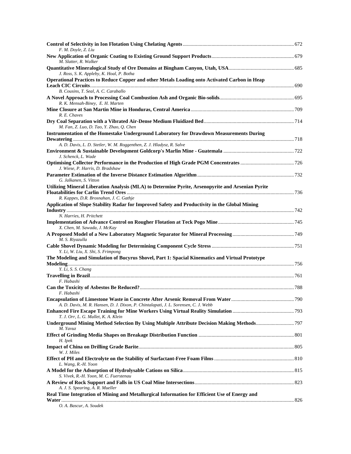| F. M. Doyle, Z. Liu                                                                                                                       |  |
|-------------------------------------------------------------------------------------------------------------------------------------------|--|
| M. Slatter, R. Walker                                                                                                                     |  |
| J. Ross, S. K. Appleby, K. Hoal, P. Botha                                                                                                 |  |
| Operational Practices to Reduce Copper and other Metals Loading onto Activated Carbon in Heap                                             |  |
| B. Cousins, T. Seal, A. C. Caraballo<br>R. K. Mensah-Biney, E. H. Marten                                                                  |  |
| R. E. Chaves                                                                                                                              |  |
| M. Fan, Z. Luo, D. Tao, Y. Zhao, Q. Chen                                                                                                  |  |
| <b>Instrumentation of the Homestake Underground Laboratory for Drawdown Measurements During</b>                                           |  |
| A. D. Davis, L. D. Stetler, W. M. Roggenthen, Z. J. Hladysz, R. Salve                                                                     |  |
| J. Schenck, L. Wade                                                                                                                       |  |
| J. Wiese, P. Harris, D. Bradshaw                                                                                                          |  |
|                                                                                                                                           |  |
| G. Jalkanen, S. Vitton<br>Utilizing Mineral Liberation Analysis (MLA) to Determine Pyrite, Arsenopyrite and Arsenian Pyrite               |  |
| R. Kappes, D.R. Brosnahan, J. C. Gathje<br>Application of Slope Stability Radar for Improved Safety and Productivity in the Global Mining |  |
| N. Harries, H. Pritchett                                                                                                                  |  |
| X. Chen, M. Sawada, J. McKay                                                                                                              |  |
| M. S. Riyazulla                                                                                                                           |  |
| Y. Li, W. Liu, X. Shi, S. Frimpong                                                                                                        |  |
| The Modeling and Simulation of Bucyrus Shovel, Part 1: Spacial Kinematics and Virtual Prototype                                           |  |
| Y. Li, S. S. Chang                                                                                                                        |  |
| F. Habashi                                                                                                                                |  |
|                                                                                                                                           |  |
| F. Habashi                                                                                                                                |  |
| A. D. Davis, M. R. Hansen, D. J. Dixon, P. Chintalapati, J. L. Sorensen, C. J. Webb                                                       |  |
| T. J. Orr, L. G. Mallet, K. A. Klein                                                                                                      |  |
| Underground Mining Method Selection By Using Multiple Attribute Decision Making Methods797<br>M. Yavuz                                    |  |
| H. Ipek                                                                                                                                   |  |
| W. J. Miles                                                                                                                               |  |
| L. Wang, R.-H. Yoon                                                                                                                       |  |
|                                                                                                                                           |  |
| S. Vivek, R.-H. Yoon, M. C. Fuerstenau                                                                                                    |  |
| A. J. S. Spearing, A. R. Mueller<br>Real Time Integration of Mining and Metallurgical Information for Efficient Use of Energy and         |  |
| O. A. Bascur, A. Soudek                                                                                                                   |  |